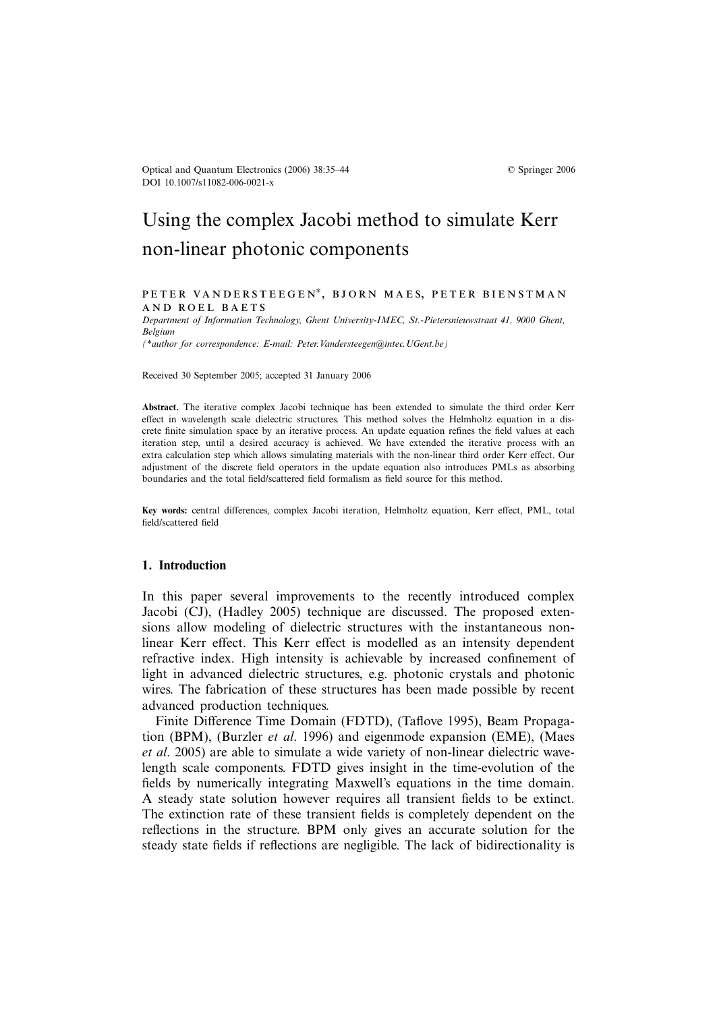# Using the complex Jacobi method to simulate Kerr non-linear photonic components

#### PETER VANDERSTEEGEN<sup>\*</sup>, BJORN MAES, PETER BIENSTMAN and roel baets

*Department of Information Technology, Ghent University-IMEC, St.-Pietersnieuwstraat 41, 9000 Ghent, Belgium (\*author for correspondence: E-mail: Peter.Vandersteegen@intec.UGent.be)*

Received 30 September 2005; accepted 31 January 2006

**Abstract.** The iterative complex Jacobi technique has been extended to simulate the third order Kerr effect in wavelength scale dielectric structures. This method solves the Helmholtz equation in a discrete finite simulation space by an iterative process. An update equation refines the field values at each iteration step, until a desired accuracy is achieved. We have extended the iterative process with an extra calculation step which allows simulating materials with the non-linear third order Kerr effect. Our adjustment of the discrete field operators in the update equation also introduces PMLs as absorbing boundaries and the total field/scattered field formalism as field source for this method.

**Key words:** central differences, complex Jacobi iteration, Helmholtz equation, Kerr effect, PML, total field/scattered field

## **1. Introduction**

In this paper several improvements to the recently introduced complex Jacobi (CJ), (Hadley 2005) technique are discussed. The proposed extensions allow modeling of dielectric structures with the instantaneous nonlinear Kerr effect. This Kerr effect is modelled as an intensity dependent refractive index. High intensity is achievable by increased confinement of light in advanced dielectric structures, e.g. photonic crystals and photonic wires. The fabrication of these structures has been made possible by recent advanced production techniques.

Finite Difference Time Domain (FDTD), (Taflove 1995), Beam Propagation (BPM), (Burzler *et al*. 1996) and eigenmode expansion (EME), (Maes *et al*. 2005) are able to simulate a wide variety of non-linear dielectric wavelength scale components. FDTD gives insight in the time-evolution of the fields by numerically integrating Maxwell's equations in the time domain. A steady state solution however requires all transient fields to be extinct. The extinction rate of these transient fields is completely dependent on the reflections in the structure. BPM only gives an accurate solution for the steady state fields if reflections are negligible. The lack of bidirectionality is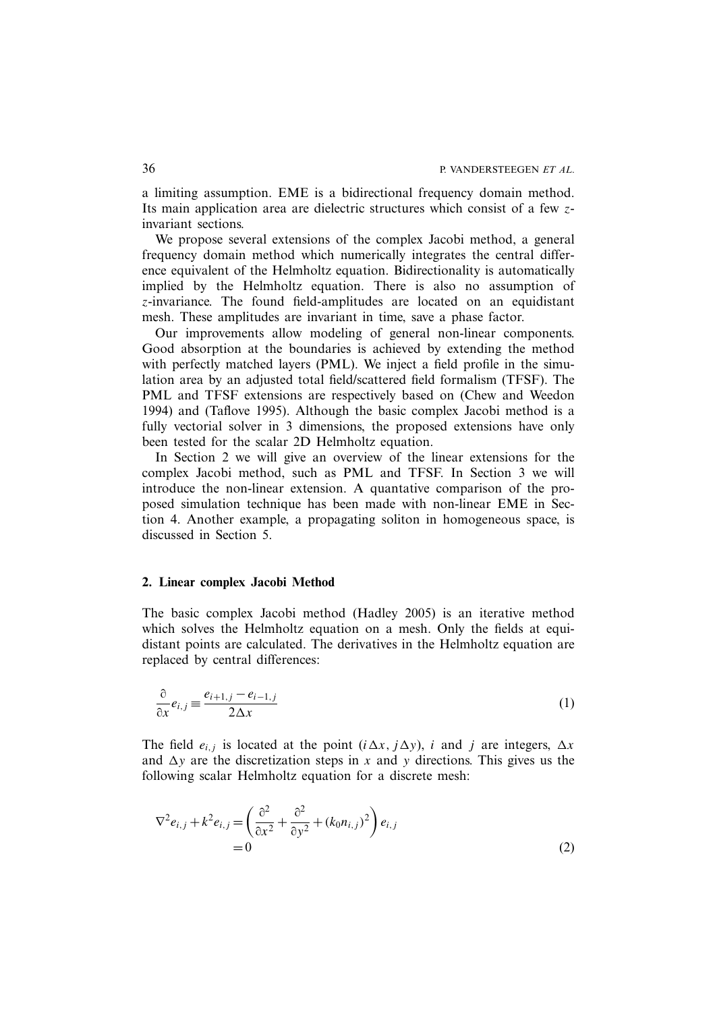a limiting assumption. EME is a bidirectional frequency domain method. Its main application area are dielectric structures which consist of a few zinvariant sections.

We propose several extensions of the complex Jacobi method, a general frequency domain method which numerically integrates the central difference equivalent of the Helmholtz equation. Bidirectionality is automatically implied by the Helmholtz equation. There is also no assumption of z-invariance. The found field-amplitudes are located on an equidistant mesh. These amplitudes are invariant in time, save a phase factor.

Our improvements allow modeling of general non-linear components. Good absorption at the boundaries is achieved by extending the method with perfectly matched layers (PML). We inject a field profile in the simulation area by an adjusted total field/scattered field formalism (TFSF). The PML and TFSF extensions are respectively based on (Chew and Weedon 1994) and (Taflove 1995). Although the basic complex Jacobi method is a fully vectorial solver in 3 dimensions, the proposed extensions have only been tested for the scalar 2D Helmholtz equation.

In Section 2 we will give an overview of the linear extensions for the complex Jacobi method, such as PML and TFSF. In Section 3 we will introduce the non-linear extension. A quantative comparison of the proposed simulation technique has been made with non-linear EME in Section 4. Another example, a propagating soliton in homogeneous space, is discussed in Section 5.

#### **2. Linear complex Jacobi Method**

The basic complex Jacobi method (Hadley 2005) is an iterative method which solves the Helmholtz equation on a mesh. Only the fields at equidistant points are calculated. The derivatives in the Helmholtz equation are replaced by central differences:

$$
\frac{\partial}{\partial x}e_{i,j} \equiv \frac{e_{i+1,j} - e_{i-1,j}}{2\Delta x}
$$
 (1)

The field  $e_{i,j}$  is located at the point  $(i \Delta x, j \Delta y)$ , i and j are integers,  $\Delta x$ and  $\Delta y$  are the discretization steps in x and y directions. This gives us the following scalar Helmholtz equation for a discrete mesh:

$$
\nabla^2 e_{i,j} + k^2 e_{i,j} = \left(\frac{\partial^2}{\partial x^2} + \frac{\partial^2}{\partial y^2} + (k_0 n_{i,j})^2\right) e_{i,j}
$$
  
= 0 (2)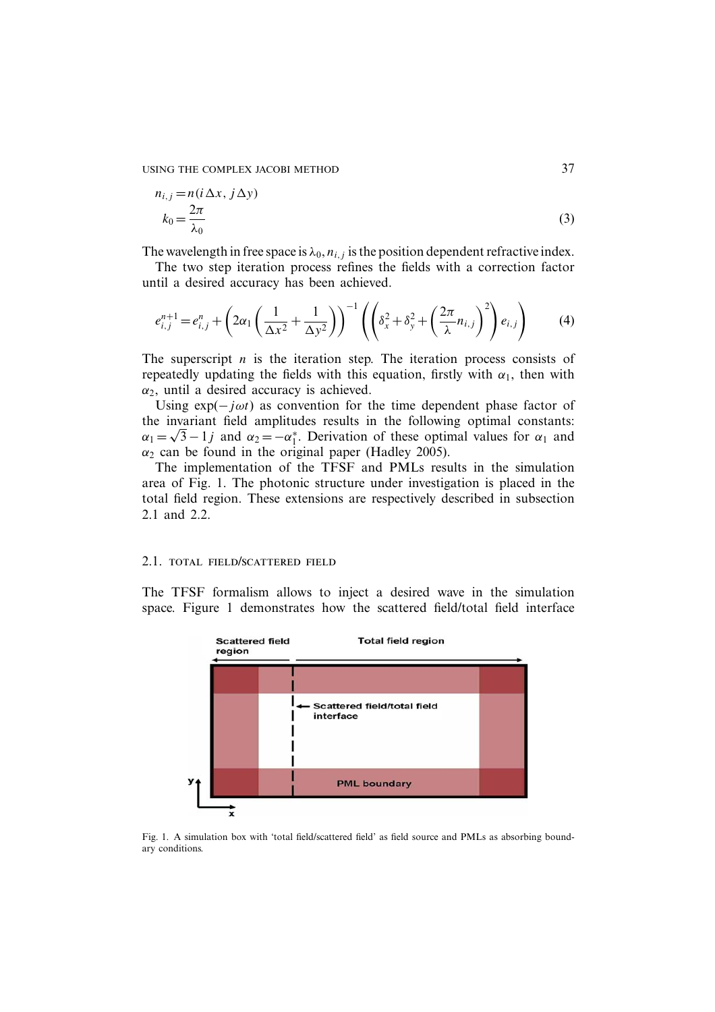USING THE COMPLEX JACOBI METHOD 37

$$
n_{i,j} = n(i \Delta x, j \Delta y)
$$
  
\n
$$
k_0 = \frac{2\pi}{\lambda_0}
$$
\n(3)

The wavelength in free space is  $\lambda_0$ ,  $n_{i,j}$  is the position dependent refractive index.

The two step iteration process refines the fields with a correction factor until a desired accuracy has been achieved.

$$
e_{i,j}^{n+1} = e_{i,j}^n + \left(2\alpha_1 \left(\frac{1}{\Delta x^2} + \frac{1}{\Delta y^2}\right)\right)^{-1} \left( \left(\delta_x^2 + \delta_y^2 + \left(\frac{2\pi}{\lambda}n_{i,j}\right)^2\right) e_{i,j} \right) \tag{4}
$$

The superscript  $n$  is the iteration step. The iteration process consists of repeatedly updating the fields with this equation, firstly with  $\alpha_1$ , then with  $\alpha_2$ , until a desired accuracy is achieved.

Using  $exp(-j\omega t)$  as convention for the time dependent phase factor of the invariant field amplitudes results in the following optimal constants:  $\alpha_1 = \sqrt{3} - 1j$  and  $\alpha_2 = -\alpha_1^*$ . Derivation of these optimal values for  $\alpha_1$  and  $\alpha_2$  can be found in the original paper (Hadley 2005).

The implementation of the TFSF and PMLs results in the simulation area of Fig. 1. The photonic structure under investigation is placed in the total field region. These extensions are respectively described in subsection 2.1 and 2.2.

#### 2.1. total field/scattered field

The TFSF formalism allows to inject a desired wave in the simulation space. Figure 1 demonstrates how the scattered field/total field interface



Fig. 1. A simulation box with 'total field/scattered field' as field source and PMLs as absorbing boundary conditions.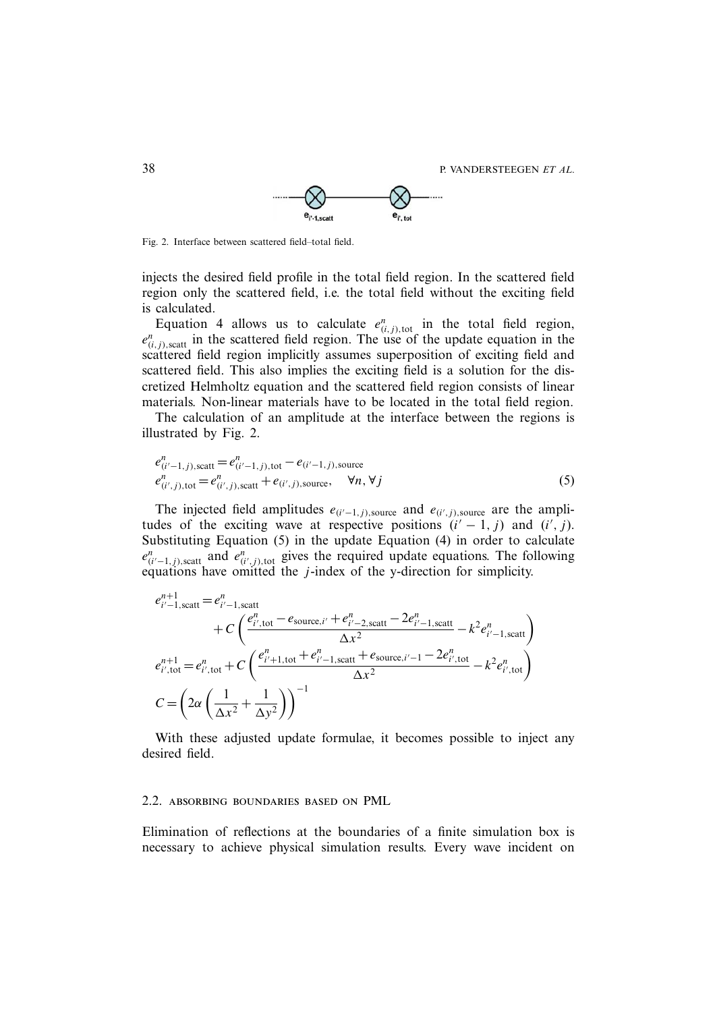38 P. VANDERSTEEGEN *ET AL*.



Fig. 2. Interface between scattered field–total field.

injects the desired field profile in the total field region. In the scattered field region only the scattered field, i.e. the total field without the exciting field is calculated.

Equation 4 allows us to calculate  $e_{(i,j),\text{tot}}^n$  in the total field region,  $e_{(i,j),\text{scatt}}^n$  in the scattered field region. The use of the update equation in the scattered field region implicitly assumes superposition of exciting field and scattered field. This also implies the exciting field is a solution for the discretized Helmholtz equation and the scattered field region consists of linear materials. Non-linear materials have to be located in the total field region.

The calculation of an amplitude at the interface between the regions is illustrated by Fig. 2.

$$
e_{(i'-1,j),\text{scatt}}^n = e_{(i'-1,j),\text{tot}}^n - e_{(i'-1,j),\text{source}}^n
$$
  
\n
$$
e_{(i',j),\text{tot}}^n = e_{(i',j),\text{scatt}}^n + e_{(i',j),\text{source}}, \forall n, \forall j
$$
 (5)

The injected field amplitudes  $e_{(i'-1,j)}$ , source and  $e_{(i',j)}$ , source are the amplitudes of the exciting wave at respective positions  $(i' - 1, j)$  and  $(i', j)$ . Substituting Equation (5) in the update Equation (4) in order to calculate  $e_{(i'-1,j),\text{scatt}}^n$  and  $e_{(i',j),\text{tot}}^n$  gives the required update equations. The following equations have omitted the  $j$ -index of the y-direction for simplicity.

$$
e_{i'-1,\text{scatt}}^{n+1} = e_{i'-1,\text{scatt}}^n + C \left( \frac{e_{i',\text{tot}}^n - e_{\text{source},i'} + e_{i'-2,\text{scatt}}^n - 2e_{i'-1,\text{scatt}}^n}{\Delta x^2} - k^2 e_{i'-1,\text{scatt}}^n \right)
$$
  

$$
e_{i',\text{tot}}^{n+1} = e_{i',\text{tot}}^n + C \left( \frac{e_{i'+1,\text{tot}}^n + e_{i'-1,\text{scatt}}^n + e_{\text{source},i'-1} - 2e_{i',\text{tot}}^n}{\Delta x^2} - k^2 e_{i',\text{tot}}^n \right)
$$
  

$$
C = \left( 2\alpha \left( \frac{1}{\Delta x^2} + \frac{1}{\Delta y^2} \right) \right)^{-1}
$$

With these adjusted update formulae, it becomes possible to inject any desired field.

## 2.2. absorbing boundaries based on PML

Elimination of reflections at the boundaries of a finite simulation box is necessary to achieve physical simulation results. Every wave incident on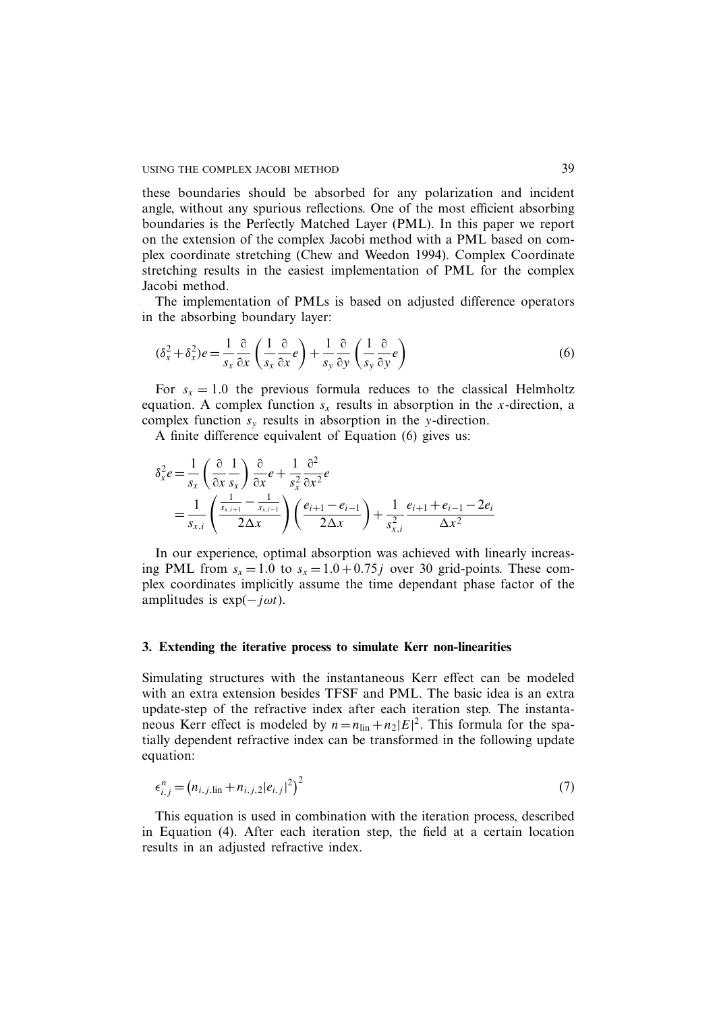these boundaries should be absorbed for any polarization and incident angle, without any spurious reflections. One of the most efficient absorbing boundaries is the Perfectly Matched Layer (PML). In this paper we report on the extension of the complex Jacobi method with a PML based on complex coordinate stretching (Chew and Weedon 1994). Complex Coordinate stretching results in the easiest implementation of PML for the complex Jacobi method.

The implementation of PMLs is based on adjusted difference operators in the absorbing boundary layer:

$$
(\delta_x^2 + \delta_x^2)e = \frac{1}{s_x} \frac{\partial}{\partial x} \left(\frac{1}{s_x} \frac{\partial}{\partial x} e\right) + \frac{1}{s_y} \frac{\partial}{\partial y} \left(\frac{1}{s_y} \frac{\partial}{\partial y} e\right)
$$
(6)

For  $s_x = 1.0$  the previous formula reduces to the classical Helmholtz equation. A complex function  $s<sub>x</sub>$  results in absorption in the x-direction, a complex function  $s_y$  results in absorption in the y-direction.

A finite difference equivalent of Equation (6) gives us:

$$
\delta_x^2 e = \frac{1}{s_x} \left( \frac{\partial}{\partial x} \frac{1}{s_x} \right) \frac{\partial}{\partial x} e + \frac{1}{s_x^2} \frac{\partial^2}{\partial x^2} e
$$
  
= 
$$
\frac{1}{s_{x,i}} \left( \frac{\frac{1}{s_{x,i+1}} - \frac{1}{s_{x,i-1}}}{2\Delta x} \right) \left( \frac{e_{i+1} - e_{i-1}}{2\Delta x} \right) + \frac{1}{s_{x,i}^2} \frac{e_{i+1} + e_{i-1} - 2e_i}{\Delta x^2}
$$

In our experience, optimal absorption was achieved with linearly increasing PML from  $s_x = 1.0$  to  $s_x = 1.0 + 0.75j$  over 30 grid-points. These complex coordinates implicitly assume the time dependant phase factor of the amplitudes is  $exp(-j\omega t)$ .

#### **3. Extending the iterative process to simulate Kerr non-linearities**

Simulating structures with the instantaneous Kerr effect can be modeled with an extra extension besides TFSF and PML. The basic idea is an extra update-step of the refractive index after each iteration step. The instantaneous Kerr effect is modeled by  $n = n_{lin} + n_2|E|^2$ . This formula for the spatially dependent refractive index can be transformed in the following update equation:

$$
\epsilon_{i,j}^n = (n_{i,j,\text{lin}} + n_{i,j,2} |e_{i,j}|^2)^2
$$
\n(7)

This equation is used in combination with the iteration process, described in Equation (4). After each iteration step, the field at a certain location results in an adjusted refractive index.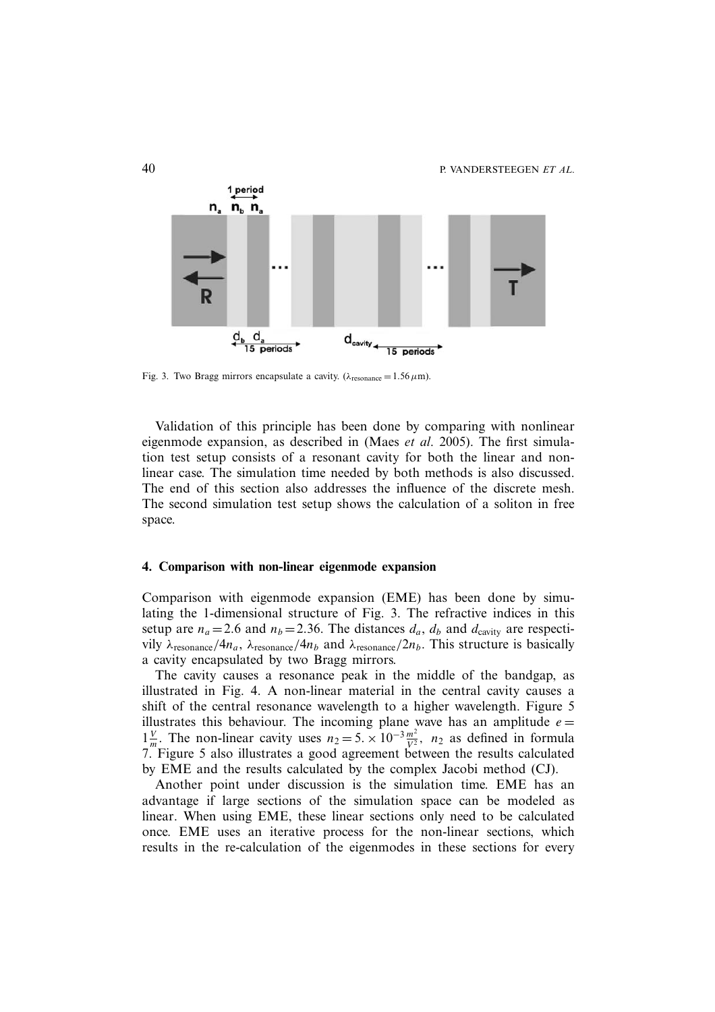

Fig. 3. Two Bragg mirrors encapsulate a cavity. ( $\lambda_{\text{resonance}} = 1.56 \,\mu\text{m}$ ).

Validation of this principle has been done by comparing with nonlinear eigenmode expansion, as described in (Maes *et al*. 2005). The first simulation test setup consists of a resonant cavity for both the linear and nonlinear case. The simulation time needed by both methods is also discussed. The end of this section also addresses the influence of the discrete mesh. The second simulation test setup shows the calculation of a soliton in free space.

#### **4. Comparison with non-linear eigenmode expansion**

Comparison with eigenmode expansion (EME) has been done by simulating the 1-dimensional structure of Fig. 3. The refractive indices in this setup are  $n_a = 2.6$  and  $n_b = 2.36$ . The distances  $d_a$ ,  $d_b$  and  $d_{\text{cavity}}$  are respectivily λ<sub>resonance</sub>/4n<sub>a</sub>, λ<sub>resonance</sub>/4n<sub>b</sub> and λ<sub>resonance</sub>/2n<sub>b</sub>. This structure is basically a cavity encapsulated by two Bragg mirrors.

The cavity causes a resonance peak in the middle of the bandgap, as illustrated in Fig. 4. A non-linear material in the central cavity causes a shift of the central resonance wavelength to a higher wavelength. Figure 5 illustrates this behaviour. The incoming plane wave has an amplitude  $e =$  $1\frac{V}{m}$ . The non-linear cavity uses  $n_2 = 5 \times 10^{-3} \frac{m^2}{V^2}$ ,  $n_2$  as defined in formula 7. Figure 5 also illustrates a good agreement between the results calculated by EME and the results calculated by the complex Jacobi method (CJ).

Another point under discussion is the simulation time. EME has an advantage if large sections of the simulation space can be modeled as linear. When using EME, these linear sections only need to be calculated once. EME uses an iterative process for the non-linear sections, which results in the re-calculation of the eigenmodes in these sections for every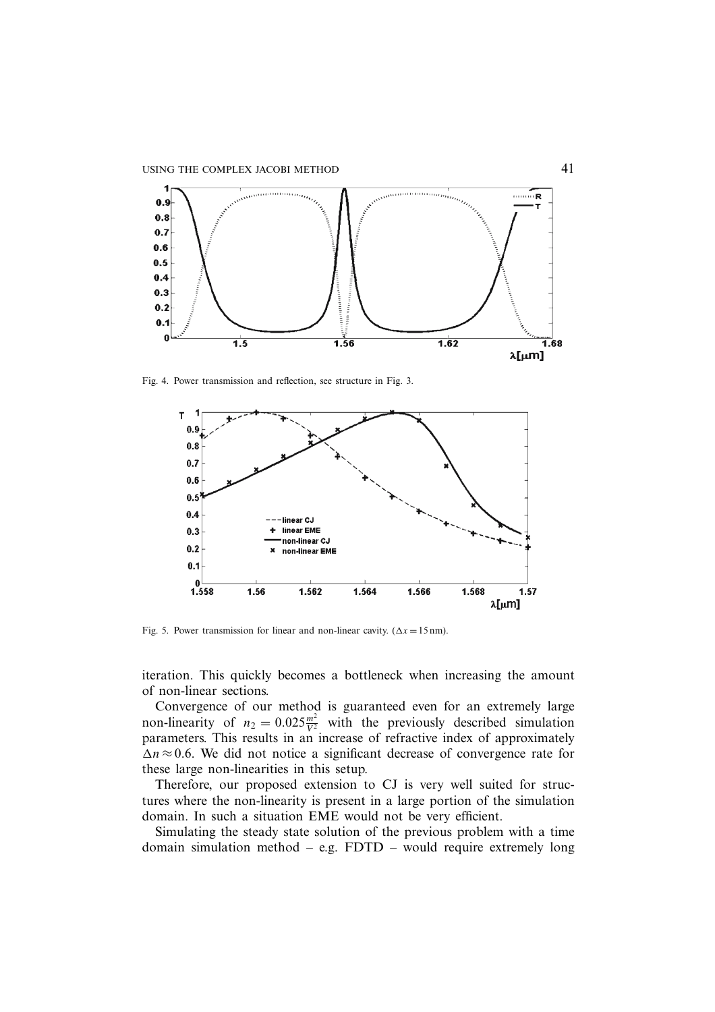

Fig. 4. Power transmission and reflection, see structure in Fig. 3.



Fig. 5. Power transmission for linear and non-linear cavity. ( $\Delta x = 15$  nm).

iteration. This quickly becomes a bottleneck when increasing the amount of non-linear sections.

Convergence of our method is guaranteed even for an extremely large non-linearity of  $n_2 = 0.025 \frac{m^2}{V^2}$  with the previously described simulation parameters. This results in an increase of refractive index of approximately  $\Delta n \approx 0.6$ . We did not notice a significant decrease of convergence rate for these large non-linearities in this setup.

Therefore, our proposed extension to CJ is very well suited for structures where the non-linearity is present in a large portion of the simulation domain. In such a situation EME would not be very efficient.

Simulating the steady state solution of the previous problem with a time domain simulation method – e.g. FDTD – would require extremely long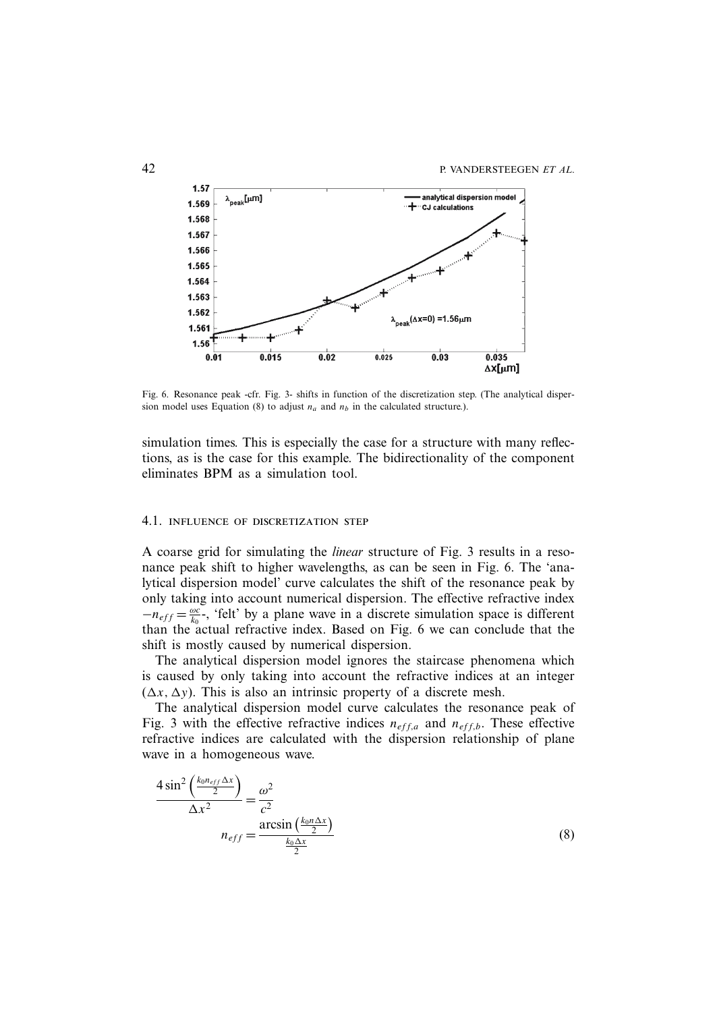

Fig. 6. Resonance peak -cfr. Fig. 3- shifts in function of the discretization step. (The analytical dispersion model uses Equation (8) to adjust  $n_a$  and  $n_b$  in the calculated structure.).

simulation times. This is especially the case for a structure with many reflections, as is the case for this example. The bidirectionality of the component eliminates BPM as a simulation tool.

## 4.1. influence of discretization step

A coarse grid for simulating the *linear* structure of Fig. 3 results in a resonance peak shift to higher wavelengths, as can be seen in Fig. 6. The 'analytical dispersion model' curve calculates the shift of the resonance peak by only taking into account numerical dispersion. The effective refractive index  $-n_{eff} = \frac{\omega c}{k_0}$ , 'felt' by a plane wave in a discrete simulation space is different than the actual refractive index. Based on Fig. 6 we can conclude that the shift is mostly caused by numerical dispersion.

The analytical dispersion model ignores the staircase phenomena which is caused by only taking into account the refractive indices at an integer  $(\Delta x, \Delta y)$ . This is also an intrinsic property of a discrete mesh.

The analytical dispersion model curve calculates the resonance peak of Fig. 3 with the effective refractive indices  $n_{eff,a}$  and  $n_{eff,b}$ . These effective refractive indices are calculated with the dispersion relationship of plane wave in a homogeneous wave.

$$
\frac{4\sin^2\left(\frac{k_0 n_{eff} \Delta x}{2}\right)}{\Delta x^2} = \frac{\omega^2}{c^2}
$$
\n
$$
n_{eff} = \frac{\arcsin\left(\frac{k_0 n \Delta x}{2}\right)}{\frac{k_0 \Delta x}{2}}
$$
\n(8)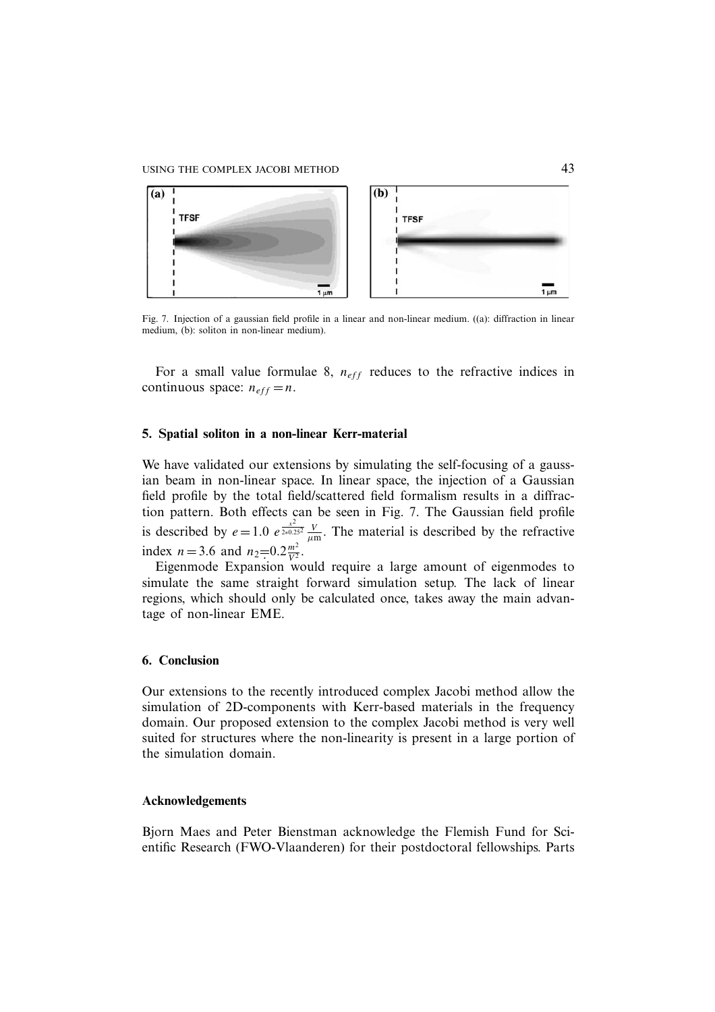## USING THE COMPLEX JACOBI METHOD 43



Fig. 7. Injection of a gaussian field profile in a linear and non-linear medium. ((a): diffraction in linear medium, (b): soliton in non-linear medium).

For a small value formulae 8,  $n_{eff}$  reduces to the refractive indices in continuous space:  $n_{eff} = n$ .

## **5. Spatial soliton in a non-linear Kerr-material**

We have validated our extensions by simulating the self-focusing of a gaussian beam in non-linear space. In linear space, the injection of a Gaussian field profile by the total field/scattered field formalism results in a diffraction pattern. Both effects can be seen in Fig. 7. The Gaussian field profile is described by  $e = 1.0 e^{\frac{x^2}{2*0.25^2}} \frac{V}{\mu m}$ . The material is described by the refractive index  $n = 3.6$  and  $n_2 = 0.2 \frac{m^2}{V^2}$ .

Eigenmode Expansion would require a large amount of eigenmodes to simulate the same straight forward simulation setup. The lack of linear regions, which should only be calculated once, takes away the main advantage of non-linear EME.

## **6. Conclusion**

Our extensions to the recently introduced complex Jacobi method allow the simulation of 2D-components with Kerr-based materials in the frequency domain. Our proposed extension to the complex Jacobi method is very well suited for structures where the non-linearity is present in a large portion of the simulation domain.

## **Acknowledgements**

Bjorn Maes and Peter Bienstman acknowledge the Flemish Fund for Scientific Research (FWO-Vlaanderen) for their postdoctoral fellowships. Parts